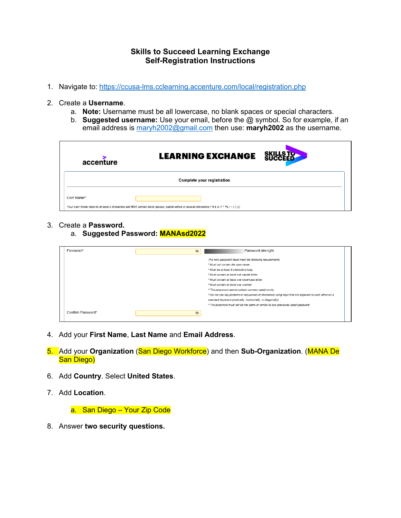## **Skills to Succeed Learning Exchange Self-Registration Instructions**

- 1. Navigate to: https://ccusa-lms.cclearning.accenture.com/local/registration.php
- 2. Create a **Username**.
	- a. **Note:** Username must be all lowercase, no blank spaces or special characters.
	- b. **Suggested username:** Use your email, before the @ symbol. So for example, if an email address is maryh2002@gmail.com then use: **maryh2002** as the username.

| accenture                  | <b>LEARNING EXCHANGE</b>                                                                                                                          |  |  |  |  |  |
|----------------------------|---------------------------------------------------------------------------------------------------------------------------------------------------|--|--|--|--|--|
| Complete your registration |                                                                                                                                                   |  |  |  |  |  |
| User Name*                 | Your User Name must be at least 3 characters and NOT contain blank spaces, capital letters or special characters (! # \$ & /? * * 96   ~   () {}) |  |  |  |  |  |

- 3. Create a **Password.**
	- a. **Suggested Password: MANAsd2022**

| Password*         | Password strength<br>Ø                                                                               |  |
|-------------------|------------------------------------------------------------------------------------------------------|--|
|                   | The new password must meet the following requirements:                                               |  |
|                   | * Must not contain the user name.                                                                    |  |
|                   | * Must be at least 8 characters long.                                                                |  |
|                   | * Must contain at least one capital letter.                                                          |  |
|                   | * Must contain at least one lowercase letter.                                                        |  |
|                   | * Must contain at least one number.                                                                  |  |
|                   | * The password cannot contain common used words.                                                     |  |
|                   | * Do not use key patterns or sequences of characters using keys that are adjacent to each other on a |  |
|                   | standard keyboard (vertically, horizontally, or diagonally)                                          |  |
|                   | * The password must not be the same or similar to any previously used password                       |  |
| Confirm Password* | $\mathcal{D}$                                                                                        |  |

- 4. Add your **First Name**, **Last Name** and **Email Address**.
- 5. Add your **Organization** (San Diego Workforce) and then **Sub-Organization**. (MANA De San Diego)
- 6. Add **Country**. Select **United States**.
- 7. Add **Location**.

a. San Diego – Your Zip Code

8. Answer **two security questions.**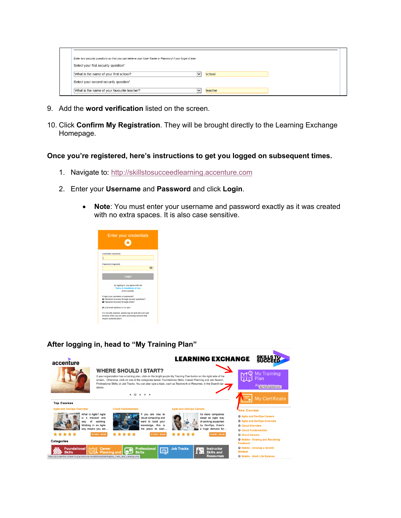| Enter two security questions so that you can retrieve your User Name or Password if you forget it later. |                         |  |
|----------------------------------------------------------------------------------------------------------|-------------------------|--|
| Select your first security question*                                                                     |                         |  |
| What is the name of your first school?                                                                   | school<br>$\checkmark$  |  |
| Select your second security question*                                                                    |                         |  |
| What is the name of your favourite teacher?                                                              | teacher<br>$\checkmark$ |  |

- 9. Add the **word verification** listed on the screen.
- 10. Click **Confirm My Registration**. They will be brought directly to the Learning Exchange Homepage.

## **Once you're registered, here's instructions to get you logged on subsequent times.**

- 1. Navigate to: http://skillstosucceedlearning.accenture.com
- 2. Enter your **Username** and **Password** and click **Login**.
	- **Note**: You must enter your username and password exactly as it was created with no extra spaces. It is also case sensitive.



## **After logging in, head to "My Training Plan"**